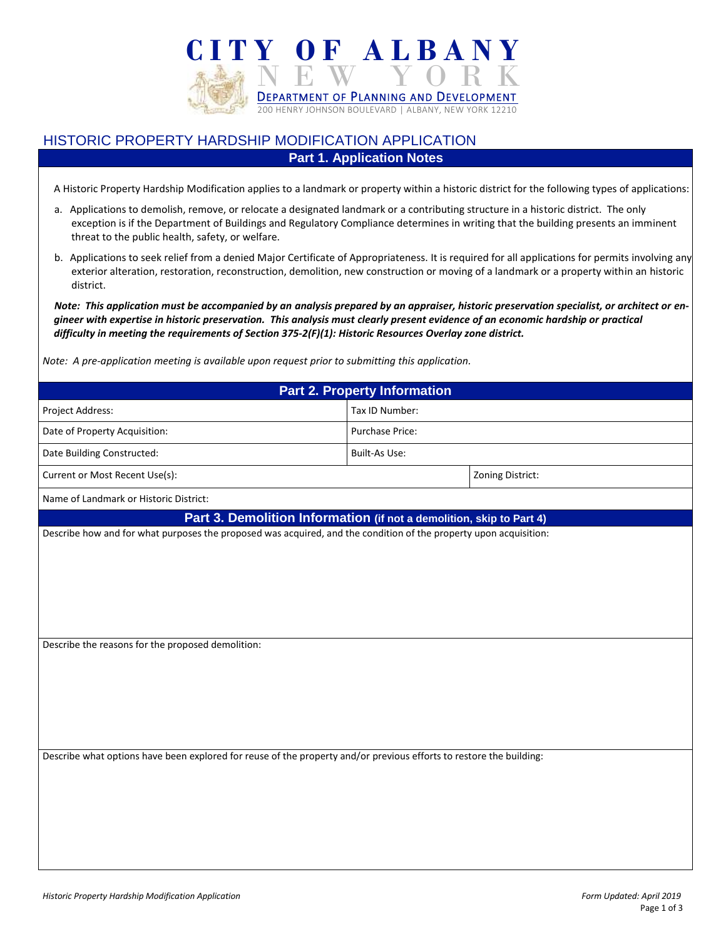

## HISTORIC PROPERTY HARDSHIP MODIFICATION APPLICATION **Part 1. Application Notes**

A Historic Property Hardship Modification applies to a landmark or property within a historic district for the following types of applications:

- a. Applications to demolish, remove, or relocate a designated landmark or a contributing structure in a historic district. The only exception is if the Department of Buildings and Regulatory Compliance determines in writing that the building presents an imminent threat to the public health, safety, or welfare.
- b. Applications to seek relief from a denied Major Certificate of Appropriateness. It is required for all applications for permits involving any exterior alteration, restoration, reconstruction, demolition, new construction or moving of a landmark or a property within an historic district.

*Note: This application must be accompanied by an analysis prepared by an appraiser, historic preservation specialist, or architect or engineer with expertise in historic preservation. This analysis must clearly present evidence of an economic hardship or practical difficulty in meeting the requirements of Section 375-2(F)(1): Historic Resources Overlay zone district.*

*Note: A pre-application meeting is available upon request prior to submitting this application.*

| <b>Part 2. Property Information</b>                                                                                                                                                       |                      |                  |  |  |
|-------------------------------------------------------------------------------------------------------------------------------------------------------------------------------------------|----------------------|------------------|--|--|
| Project Address:                                                                                                                                                                          | Tax ID Number:       |                  |  |  |
| Date of Property Acquisition:                                                                                                                                                             | Purchase Price:      |                  |  |  |
| Date Building Constructed:                                                                                                                                                                | <b>Built-As Use:</b> |                  |  |  |
| Current or Most Recent Use(s):                                                                                                                                                            |                      | Zoning District: |  |  |
| Name of Landmark or Historic District:                                                                                                                                                    |                      |                  |  |  |
| Part 3. Demolition Information (if not a demolition, skip to Part 4)<br>Describe how and for what purposes the proposed was acquired, and the condition of the property upon acquisition: |                      |                  |  |  |
|                                                                                                                                                                                           |                      |                  |  |  |
| Describe the reasons for the proposed demolition:                                                                                                                                         |                      |                  |  |  |
| Describe what options have been explored for reuse of the property and/or previous efforts to restore the building:                                                                       |                      |                  |  |  |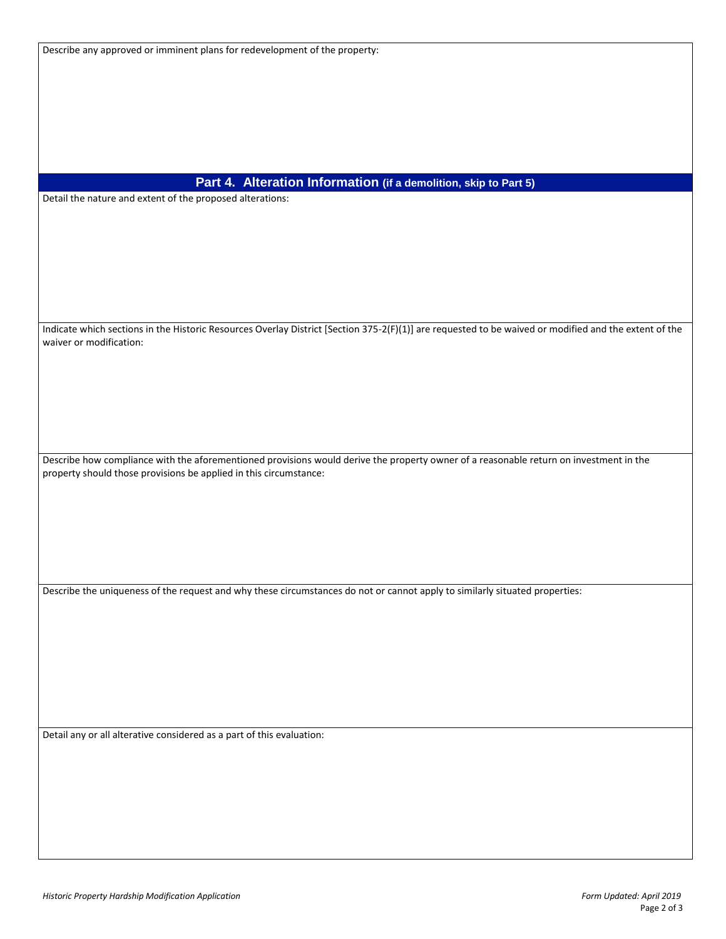## **Part 4. Alteration Information (if a demolition, skip to Part 5)**

Detail the nature and extent of the proposed alterations:

Indicate which sections in the Historic Resources Overlay District [Section 375-2(F)(1)] are requested to be waived or modified and the extent of the waiver or modification:

Describe how compliance with the aforementioned provisions would derive the property owner of a reasonable return on investment in the property should those provisions be applied in this circumstance:

Describe the uniqueness of the request and why these circumstances do not or cannot apply to similarly situated properties:

Detail any or all alterative considered as a part of this evaluation: